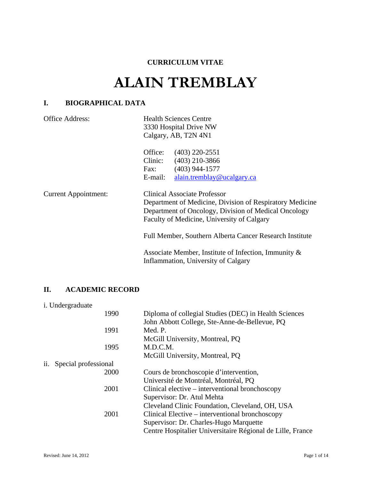## **CURRICULUM VITAE**

# **ALAIN TREMBLAY**

# **I. BIOGRAPHICAL DATA**

| Office Address:             | <b>Health Sciences Centre</b><br>3330 Hospital Drive NW<br>Calgary, AB, T2N 4N1                                                                                                                       |
|-----------------------------|-------------------------------------------------------------------------------------------------------------------------------------------------------------------------------------------------------|
|                             | Office: (403) 220-2551<br>Clinic: (403) 210-3866<br>$(403)$ 944-1577<br>Fax:<br>E-mail:<br>alain.tremblay@ucalgary.ca                                                                                 |
| <b>Current Appointment:</b> | <b>Clinical Associate Professor</b><br>Department of Medicine, Division of Respiratory Medicine<br>Department of Oncology, Division of Medical Oncology<br>Faculty of Medicine, University of Calgary |
|                             | Full Member, Southern Alberta Cancer Research Institute<br>Associate Member, Institute of Infection, Immunity $\&$<br>Inflammation, University of Calgary                                             |

## **II. ACADEMIC RECORD**

i. Undergraduate

|     | 1990                 | Diploma of collegial Studies (DEC) in Health Sciences      |
|-----|----------------------|------------------------------------------------------------|
|     |                      | John Abbott College, Ste-Anne-de-Bellevue, PQ              |
|     | 1991                 | Med. P.                                                    |
|     |                      | McGill University, Montreal, PQ                            |
|     | 1995                 | M.D.C.M.                                                   |
|     |                      | McGill University, Montreal, PQ                            |
| ii. | Special professional |                                                            |
|     | 2000                 | Cours de bronchoscopie d'intervention,                     |
|     |                      | Université de Montréal, Montréal, PQ                       |
|     | 2001                 | Clinical elective – interventional bronchoscopy            |
|     |                      | Supervisor: Dr. Atul Mehta                                 |
|     |                      | Cleveland Clinic Foundation, Cleveland, OH, USA            |
|     | 2001                 | Clinical Elective – interventional bronchoscopy            |
|     |                      | Supervisor: Dr. Charles-Hugo Marquette                     |
|     |                      | Centre Hospitalier Universitaire Régional de Lille, France |
|     |                      |                                                            |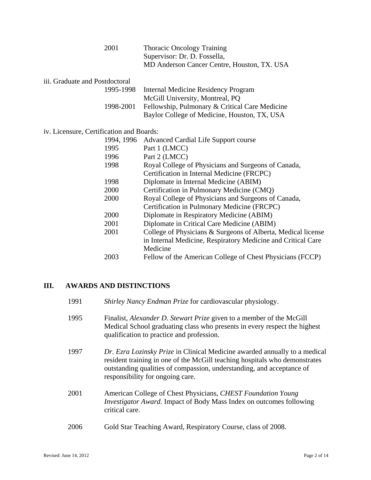| 2001 | <b>Thoracic Oncology Training</b>           |
|------|---------------------------------------------|
|      | Supervisor: Dr. D. Fossella,                |
|      | MD Anderson Cancer Centre, Houston, TX. USA |

| iii. Graduate and Postdoctoral |                                                                                                                                   |
|--------------------------------|-----------------------------------------------------------------------------------------------------------------------------------|
|                                | 1995-1998 Internal Medicine Residency Program                                                                                     |
|                                | $\mathbf{M}$ $\mathbf{C}$ $\mathbf{H}$ $\mathbf{H}$ $\mathbf{V}$ $\mathbf{V}$ $\mathbf{M}$ $\mathbf{V}$ $\mathbf{R}$ $\mathbf{A}$ |

| McGill University, Montreal, PQ                          |
|----------------------------------------------------------|
| 1998-2001 Fellowship, Pulmonary & Critical Care Medicine |
| Baylor College of Medicine, Houston, TX, USA             |

iv. Licensure, Certification and Boards:

## **III. AWARDS AND DISTINCTIONS**

- 1991 *Shirley Nancy Endman Prize* for cardiovascular physiology.
- 1995 Finalist, *Alexander D. Stewart Prize* given to a member of the McGill Medical School graduating class who presents in every respect the highest qualification to practice and profession.
- 1997 *Dr. Ezra Lozinsky Prize* in Clinical Medicine awarded annually to a medical resident training in one of the McGill teaching hospitals who demonstrates outstanding qualities of compassion, understanding, and acceptance of responsibility for ongoing care.
- 2001 American College of Chest Physicians, *CHEST Foundation Young Investigator Award*. Impact of Body Mass Index on outcomes following critical care.
- 2006 Gold Star Teaching Award, Respiratory Course, class of 2008.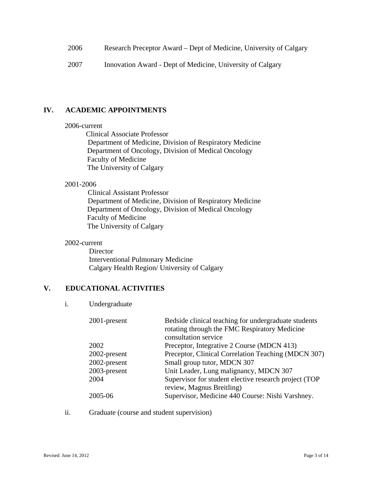- 2006 Research Preceptor Award Dept of Medicine, University of Calgary
- 2007 Innovation Award Dept of Medicine, University of Calgary

#### **IV. ACADEMIC APPOINTMENTS**

#### 2006-current

 Clinical Associate Professor Department of Medicine, Division of Respiratory Medicine Department of Oncology, Division of Medical Oncology Faculty of Medicine The University of Calgary

#### 2001-2006

 Clinical Assistant Professor Department of Medicine, Division of Respiratory Medicine Department of Oncology, Division of Medical Oncology Faculty of Medicine The University of Calgary

#### 2002-current

**Director**  Interventional Pulmonary Medicine Calgary Health Region/ University of Calgary

#### **V. EDUCATIONAL ACTIVITIES**

#### i. Undergraduate

|      | 2001-present | Bedside clinical teaching for undergraduate students<br>rotating through the FMC Respiratory Medicine<br>consultation service |
|------|--------------|-------------------------------------------------------------------------------------------------------------------------------|
| 2002 |              | Preceptor, Integrative 2 Course (MDCN 413)                                                                                    |
|      | 2002-present | Preceptor, Clinical Correlation Teaching (MDCN 307)                                                                           |
|      | 2002-present | Small group tutor, MDCN 307                                                                                                   |
|      | 2003-present | Unit Leader, Lung malignancy, MDCN 307                                                                                        |
| 2004 |              | Supervisor for student elective research project (TOP<br>review, Magnus Breitling)                                            |
|      | 2005-06      | Supervisor, Medicine 440 Course: Nishi Varshney.                                                                              |

ii. Graduate (course and student supervision)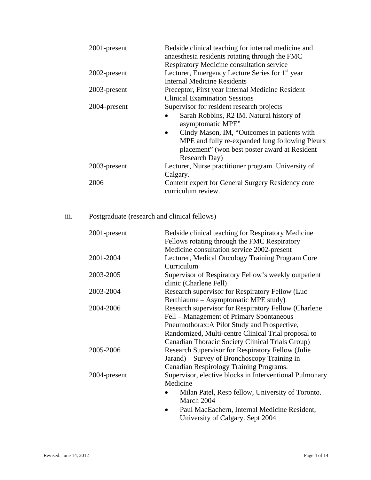| 2001-present | Bedside clinical teaching for internal medicine and<br>anaesthesia residents rotating through the FMC<br>Respiratory Medicine consultation service                            |
|--------------|-------------------------------------------------------------------------------------------------------------------------------------------------------------------------------|
| 2002-present | Lecturer, Emergency Lecture Series for 1 <sup>st</sup> year                                                                                                                   |
|              | <b>Internal Medicine Residents</b>                                                                                                                                            |
| 2003-present | Preceptor, First year Internal Medicine Resident                                                                                                                              |
|              | <b>Clinical Examination Sessions</b>                                                                                                                                          |
| 2004-present | Supervisor for resident research projects                                                                                                                                     |
|              | Sarah Robbins, R2 IM. Natural history of<br>asymptomatic MPE"                                                                                                                 |
|              | Cindy Mason, IM, "Outcomes in patients with<br>$\bullet$<br>MPE and fully re-expanded lung following Pleurx<br>placement" (won best poster award at Resident<br>Research Day) |
| 2003-present | Lecturer, Nurse practitioner program. University of<br>Calgary.                                                                                                               |
| 2006         | Content expert for General Surgery Residency core<br>curriculum review.                                                                                                       |

# iii. Postgraduate (research and clinical fellows)

| 2001-present | Bedside clinical teaching for Respiratory Medicine      |
|--------------|---------------------------------------------------------|
|              | Fellows rotating through the FMC Respiratory            |
|              | Medicine consultation service 2002-present              |
| 2001-2004    | Lecturer, Medical Oncology Training Program Core        |
|              | Curriculum                                              |
| 2003-2005    | Supervisor of Respiratory Fellow's weekly outpatient    |
|              | clinic (Charlene Fell)                                  |
| 2003-2004    | Research supervisor for Respiratory Fellow (Luc         |
|              | Berthiaume – Asymptomatic MPE study)                    |
| 2004-2006    | Research supervisor for Respiratory Fellow (Charlene    |
|              | Fell – Management of Primary Spontaneous                |
|              | Pneumothorax: A Pilot Study and Prospective,            |
|              | Randomized, Multi-centre Clinical Trial proposal to     |
|              | Canadian Thoracic Society Clinical Trials Group)        |
| 2005-2006    | Research Supervisor for Respiratory Fellow (Julie)      |
|              | Jarand) – Survey of Bronchoscopy Training in            |
|              | Canadian Respirology Training Programs.                 |
| 2004-present | Supervisor, elective blocks in Interventional Pulmonary |
|              | Medicine                                                |
|              | Milan Patel, Resp fellow, University of Toronto.        |
|              | March 2004                                              |
|              |                                                         |
|              | Paul MacEachern, Internal Medicine Resident,            |

University of Calgary. Sept 2004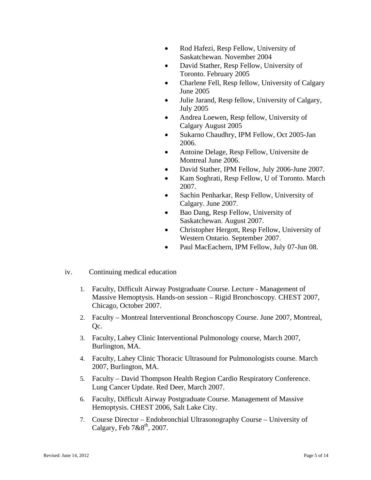- Rod Hafezi, Resp Fellow, University of Saskatchewan. November 2004
- David Stather, Resp Fellow, University of Toronto. February 2005
- Charlene Fell, Resp fellow, University of Calgary June 2005
- Julie Jarand, Resp fellow, University of Calgary, July 2005
- Andrea Loewen, Resp fellow, University of Calgary August 2005
- Sukarno Chaudhry, IPM Fellow, Oct 2005-Jan 2006.
- Antoine Delage, Resp Fellow, Universite de Montreal June 2006.
- David Stather, IPM Fellow, July 2006-June 2007.
- Kam Soghrati, Resp Fellow, U of Toronto. March 2007.
- Sachin Penharkar, Resp Fellow, University of Calgary. June 2007.
- Bao Dang, Resp Fellow, University of Saskatchewan. August 2007.
- Christopher Hergott, Resp Fellow, University of Western Ontario. September 2007.
- Paul MacEachern, IPM Fellow, July 07-Jun 08.
- iv. Continuing medical education
	- 1. Faculty, Difficult Airway Postgraduate Course. Lecture Management of Massive Hemoptysis. Hands-on session – Rigid Bronchoscopy. CHEST 2007, Chicago, October 2007.
	- 2. Faculty Montreal Interventional Bronchoscopy Course. June 2007, Montreal, Qc.
	- 3. Faculty, Lahey Clinic Interventional Pulmonology course, March 2007, Burlington, MA.
	- 4. Faculty, Lahey Clinic Thoracic Ultrasound for Pulmonologists course. March 2007, Burlington, MA.
	- 5. Faculty David Thompson Health Region Cardio Respiratory Conference. Lung Cancer Update. Red Deer, March 2007.
	- 6. Faculty, Difficult Airway Postgraduate Course. Management of Massive Hemoptysis. CHEST 2006, Salt Lake City.
	- 7. Course Director Endobronchial Ultrasonography Course University of Calgary, Feb  $7&8^{th}$ , 2007.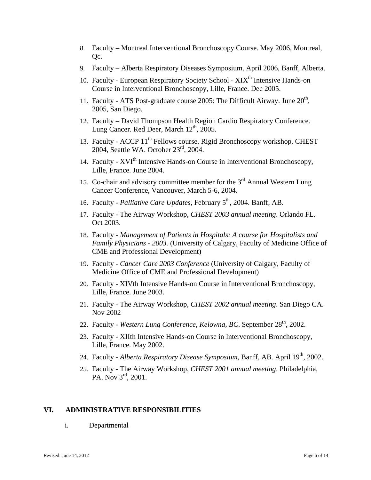- 8. Faculty Montreal Interventional Bronchoscopy Course. May 2006, Montreal, Qc.
- 9. Faculty Alberta Respiratory Diseases Symposium. April 2006, Banff, Alberta.
- 10. Faculty European Respiratory Society School XIX<sup>th</sup> Intensive Hands-on Course in Interventional Bronchoscopy, Lille, France. Dec 2005.
- 11. Faculty ATS Post-graduate course 2005: The Difficult Airway. June  $20<sup>th</sup>$ , 2005, San Diego.
- 12. Faculty David Thompson Health Region Cardio Respiratory Conference. Lung Cancer. Red Deer, March  $12<sup>th</sup>$ , 2005.
- 13. Faculty ACCP 11<sup>th</sup> Fellows course. Rigid Bronchoscopy workshop. CHEST 2004, Seattle WA. October 23rd, 2004.
- 14. Faculty XVI<sup>th</sup> Intensive Hands-on Course in Interventional Bronchoscopy, Lille, France. June 2004.
- 15. Co-chair and advisory committee member for the  $3<sup>rd</sup>$  Annual Western Lung Cancer Conference, Vancouver, March 5-6, 2004.
- 16. Faculty *Palliative Care Updates,* February 5th, 2004. Banff, AB.
- 17. Faculty The Airway Workshop, *CHEST 2003 annual meeting*. Orlando FL. Oct 2003.
- 18. Faculty *Management of Patients in Hospitals: A course for Hospitalists and Family Physicians - 2003.* (University of Calgary, Faculty of Medicine Office of CME and Professional Development)
- 19. Faculty - *Cancer Care 2003 Conference* (University of Calgary, Faculty of Medicine Office of CME and Professional Development)
- 20. Faculty XIVth Intensive Hands-on Course in Interventional Bronchoscopy, Lille, France. June 2003.
- 21. Faculty The Airway Workshop, *CHEST 2002 annual meeting*. San Diego CA. Nov 2002
- 22. Faculty Western Lung Conference, Kelowna, BC. September 28<sup>th</sup>, 2002.
- 23. Faculty XIIth Intensive Hands-on Course in Interventional Bronchoscopy, Lille, France. May 2002.
- 24. Faculty *Alberta Respiratory Disease Symposium,* Banff, AB*.* April 19th, 2002.
- 25. Faculty The Airway Workshop, *CHEST 2001 annual meeting*. Philadelphia, PA. Nov 3<sup>rd</sup>, 2001.

#### **VI. ADMINISTRATIVE RESPONSIBILITIES**

i. Departmental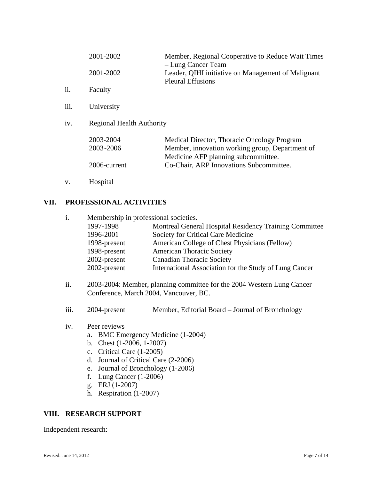|      | 2001-2002<br>2001-2002                 | Member, Regional Cooperative to Reduce Wait Times<br>- Lung Cancer Team<br>Leader, QIHI initiative on Management of Malignant                                                    |
|------|----------------------------------------|----------------------------------------------------------------------------------------------------------------------------------------------------------------------------------|
| ii.  | Faculty                                | <b>Pleural Effusions</b>                                                                                                                                                         |
| iii. | University                             |                                                                                                                                                                                  |
| iv.  | <b>Regional Health Authority</b>       |                                                                                                                                                                                  |
|      | 2003-2004<br>2003-2006<br>2006-current | Medical Director, Thoracic Oncology Program<br>Member, innovation working group, Department of<br>Medicine AFP planning subcommittee.<br>Co-Chair, ARP Innovations Subcommittee. |

v. Hospital

### **VII. PROFESSIONAL ACTIVITIES**

| $\mathbf{i}$ . | Membership in professional societies. |                                                        |
|----------------|---------------------------------------|--------------------------------------------------------|
|                | 1997-1998                             | Montreal General Hospital Residency Training Committee |
|                | 1996-2001                             | Society for Critical Care Medicine                     |
|                | 1998-present                          | American College of Chest Physicians (Fellow)          |
|                | 1998-present                          | <b>American Thoracic Society</b>                       |
|                | 2002-present                          | <b>Canadian Thoracic Society</b>                       |
|                | 2002-present                          | International Association for the Study of Lung Cancer |

- ii. 2003-2004: Member, planning committee for the 2004 Western Lung Cancer Conference, March 2004, Vancouver, BC.
- iii. 2004-present Member, Editorial Board Journal of Bronchology
- iv. Peer reviews
	- a. BMC Emergency Medicine (1-2004)
	- b. Chest (1-2006, 1-2007)
	- c. Critical Care (1-2005)
	- d. Journal of Critical Care (2-2006)
	- e. Journal of Bronchology (1-2006)
	- f. Lung Cancer (1-2006)
	- g. ERJ (1-2007)
	- h. Respiration (1-2007)

#### **VIII. RESEARCH SUPPORT**

Independent research: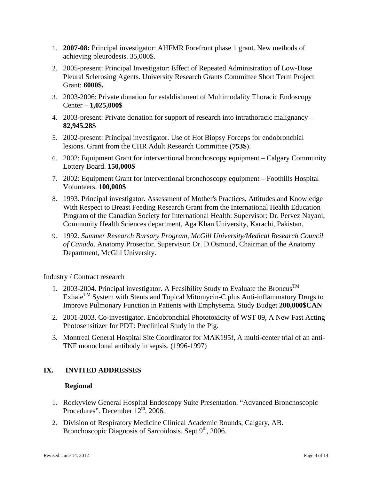- 1. **2007-08:** Principal investigator: AHFMR Forefront phase 1 grant. New methods of achieving pleurodesis. 35,000\$.
- 2. 2005-present: Principal Investigator: Effect of Repeated Administration of Low-Dose Pleural Sclerosing Agents. University Research Grants Committee Short Term Project Grant: **6000\$.**
- 3. 2003-2006: Private donation for establishment of Multimodality Thoracic Endoscopy Center – **1,025,000\$**
- 4. 2003-present: Private donation for support of research into intrathoracic malignancy **82,945.28\$**
- 5. 2002-present: Principal investigator. Use of Hot Biopsy Forceps for endobronchial lesions. Grant from the CHR Adult Research Committee (**753\$**).
- 6. 2002: Equipment Grant for interventional bronchoscopy equipment Calgary Community Lottery Board. **150,000\$**
- 7. 2002: Equipment Grant for interventional bronchoscopy equipment Foothills Hospital Volunteers. **100,000\$**
- 8. 1993. Principal investigator. Assessment of Mother's Practices, Attitudes and Knowledge With Respect to Breast Feeding Research Grant from the International Health Education Program of the Canadian Society for International Health: Supervisor: Dr. Pervez Nayani, Community Health Sciences department, Aga Khan University, Karachi, Pakistan.
- 9. 1992. *Summer Research Bursary Program, McGill University/Medical Research Council of Canada*. Anatomy Prosector. Supervisor: Dr. D.Osmond, Chairman of the Anatomy Department, McGill University.

Industry / Contract research

- 1. 2003-2004. Principal investigator. A Feasibility Study to Evaluate the Broncus<sup>TM</sup>  $Exhale<sup>TM</sup> System with Stents and Topical Mitomycin-C plus Anti-inflammatory Drugs to$ Improve Pulmonary Function in Patients with Emphysema. Study Budget **200,000\$CAN**
- 2. 2001-2003. Co-investigator. Endobronchial Phototoxicity of WST 09, A New Fast Acting Photosensitizer for PDT: Preclinical Study in the Pig.
- 3. Montreal General Hospital Site Coordinator for MAK195f, A multi-center trial of an anti-TNF monoclonal antibody in sepsis. (1996-1997)

## **IX. INVITED ADDRESSES**

#### **Regional**

- 1. Rockyview General Hospital Endoscopy Suite Presentation. "Advanced Bronchoscopic Procedures". December  $12<sup>th</sup>$ , 2006.
- 2. Division of Respiratory Medicine Clinical Academic Rounds, Calgary, AB. Bronchoscopic Diagnosis of Sarcoidosis. Sept  $9<sup>th</sup>$ , 2006.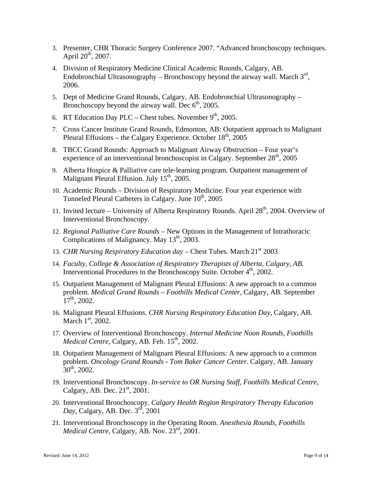- 3. Presenter, CHR Thoracic Surgery Conference 2007. "Advanced bronchoscopy techniques. April  $20^{th}$ ,  $2007$ .
- 4. Division of Respiratory Medicine Clinical Academic Rounds, Calgary, AB. Endobronchial Ultrasonography – Bronchoscopy beyond the airway wall. March  $3<sup>rd</sup>$ , 2006.
- 5. Dept of Medicine Grand Rounds, Calgary, AB. Endobronchial Ultrasonography Bronchoscopy beyond the airway wall. Dec  $6<sup>th</sup>$ , 2005.
- 6. RT Education Day PLC Chest tubes. November  $9<sup>th</sup>$ , 2005.
- 7. Cross Cancer Institute Grand Rounds, Edmonton, AB: Outpatient approach to Malignant Pleural Effusions – the Calgary Experience. October  $18<sup>th</sup>$ , 2005
- 8. TBCC Grand Rounds: Approach to Malignant Airway Obstruction Four year's experience of an interventional bronchoscopist in Calgary. September  $28<sup>th</sup>$ , 2005
- 9. Alberta Hospice & Palliative care tele-learning program. Outpatient management of Malignant Pleural Effusion. July  $15<sup>th</sup>$ , 2005.
- 10. Academic Rounds Division of Respiratory Medicine. Four year experience with Tunneled Pleural Catheters in Calgary. June 10<sup>th</sup>, 2005
- 11. Invited lecture University of Alberta Respiratory Rounds. April  $28<sup>th</sup>$ , 2004. Overview of Interventional Bronchoscopy.
- 12. *Regional Palliative Care Rounds* New Options in the Management of Intrathoracic Complications of Malignancy. May  $13<sup>th</sup>$ , 2003.
- 13. *CHR Nursing Respiratory Education day Chest Tubes. March* 21<sup>st</sup> 2003
- 14. *Faculty, College & Association of Respiratory Therapists of Alberta, Calgary, AB.* Interventional Procedures in the Bronchoscopy Suite. October 4<sup>th</sup>, 2002.
- 15. Outpatient Management of Malignant Pleural Effusions: A new approach to a common problem. *Medical Grand Rounds – Foothills Medical Center,* Calgary, AB*.* September  $17^{th}$ , 2002.
- 16. Malignant Pleural Effusions. *CHR Nursing Respiratory Education Day,* Calgary, AB*.*  March  $1<sup>st</sup>$ , 2002.
- 17. Overview of Interventional Bronchoscopy. *Internal Medicine Noon Rounds, Foothills Medical Centre, Calgary, AB. Feb.* 15<sup>th</sup>, 2002.
- 18. Outpatient Management of Malignant Pleural Effusions: A new approach to a common problem. *Oncology Grand Rounds - Tom Baker Cancer Center*. Calgary, AB. January  $30^{th}$ , 2002.
- 19. Interventional Bronchoscopy. *In-service to OR Nursing Staff, Foothills Medical Centre,*  Calgary, AB. Dec.  $21<sup>st</sup>$ , 2001.
- 20. Interventional Bronchoscopy. *Calgary Health Region Respiratory Therapy Education Day*, Calgary, AB. Dec. 3<sup>rd</sup>, 2001
- 21. Interventional Bronchoscopy in the Operating Room. *Anesthesia Rounds, Foothills Medical Centre, Calgary, AB, Nov. 23<sup>rd</sup>, 2001.*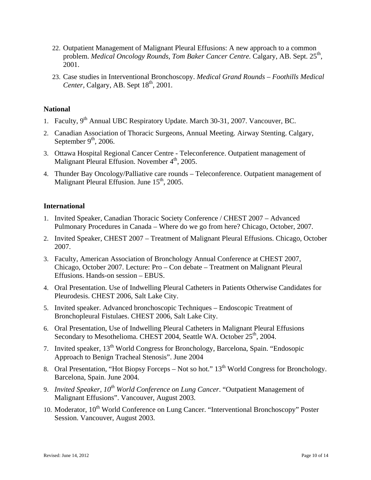- 22. Outpatient Management of Malignant Pleural Effusions: A new approach to a common problem. *Medical Oncology Rounds, Tom Baker Cancer Centre.* Calgary, AB. Sept. 25<sup>th</sup>, 2001.
- 23. Case studies in Interventional Bronchoscopy. *Medical Grand Rounds Foothills Medical Center, Calgary, AB. Sept 18<sup>th</sup>, 2001.*

#### **National**

- 1. Faculty, 9<sup>th</sup> Annual UBC Respiratory Update. March 30-31, 2007. Vancouver, BC.
- 2. Canadian Association of Thoracic Surgeons, Annual Meeting. Airway Stenting. Calgary, September  $9<sup>th</sup>$ , 2006.
- 3. Ottawa Hospital Regional Cancer Centre Teleconference. Outpatient management of Malignant Pleural Effusion. November 4<sup>th</sup>, 2005.
- 4. Thunder Bay Oncology/Palliative care rounds Teleconference. Outpatient management of Malignant Pleural Effusion. June  $15<sup>th</sup>$ , 2005.

#### **International**

- 1. Invited Speaker, Canadian Thoracic Society Conference / CHEST 2007 Advanced Pulmonary Procedures in Canada – Where do we go from here? Chicago, October, 2007.
- 2. Invited Speaker, CHEST 2007 Treatment of Malignant Pleural Effusions. Chicago, October 2007.
- 3. Faculty, American Association of Bronchology Annual Conference at CHEST 2007, Chicago, October 2007. Lecture: Pro – Con debate – Treatment on Malignant Pleural Effusions. Hands-on session – EBUS.
- 4. Oral Presentation. Use of Indwelling Pleural Catheters in Patients Otherwise Candidates for Pleurodesis. CHEST 2006, Salt Lake City.
- 5. Invited speaker. Advanced bronchoscopic Techniques Endoscopic Treatment of Bronchopleural Fistulaes. CHEST 2006, Salt Lake City.
- 6. Oral Presentation, Use of Indwelling Pleural Catheters in Malignant Pleural Effusions Secondary to Mesothelioma. CHEST 2004, Seattle WA. October 25<sup>th</sup>, 2004.
- 7. Invited speaker, 13th World Congress for Bronchology, Barcelona, Spain. "Endosopic Approach to Benign Tracheal Stenosis". June 2004
- 8. Oral Presentation, "Hot Biopsy Forceps Not so hot."  $13<sup>th</sup>$  World Congress for Bronchology. Barcelona, Spain. June 2004.
- 9. *Invited Speaker, 10<sup>th</sup> World Conference on Lung Cancer*. "Outpatient Management of Malignant Effusions". Vancouver, August 2003.
- 10. Moderator, 10<sup>th</sup> World Conference on Lung Cancer. "Interventional Bronchoscopy" Poster Session. Vancouver, August 2003.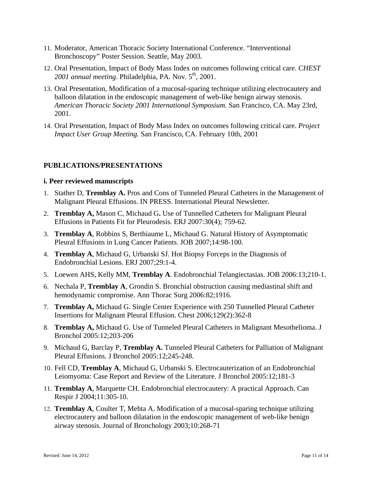- 11. Moderator, American Thoracic Society International Conference. "Interventional Bronchoscopy" Poster Session. Seattle, May 2003.
- 12. Oral Presentation, Impact of Body Mass Index on outcomes following critical care. *CHEST*  2001 annual meeting. Philadelphia, PA. Nov. 5<sup>th</sup>, 2001.
- 13. Oral Presentation, Modification of a mucosal-sparing technique utilizing electrocautery and balloon dilatation in the endoscopic management of web-like benign airway stenosis. *American Thoracic Society 2001 International Symposium.* San Francisco, CA. May 23rd, 2001.
- 14. Oral Presentation, Impact of Body Mass Index on outcomes following critical care. *Project Impact User Group Meeting.* San Francisco, CA. February 10th, 2001

#### **PUBLICATIONS/PRESENTATIONS**

#### **i. Peer reviewed manuscripts**

- 1. Stather D, **Tremblay A.** Pros and Cons of Tunneled Pleural Catheters in the Management of Malignant Pleural Effusions. IN PRESS. International Pleural Newsletter.
- 2. **Tremblay A,** Mason C, Michaud G**.** Use of Tunnelled Catheters for Malignant Pleural Effusions in Patients Fit for Pleurodesis. ERJ 2007:30(4); 759-62.
- 3. **Tremblay A**, Robbins S, Berthiaume L, Michaud G. Natural History of Asymptomatic Pleural Effusions in Lung Cancer Patients. JOB 2007;14:98-100.
- 4. **Tremblay A**, Michaud G, Urbanski SJ. Hot Biopsy Forceps in the Diagnosis of Endobronchial Lesions. ERJ 2007;29:1-4.
- 5. Loewen AHS, Kelly MM, **Tremblay A**. Endobronchial Telangiectasias. JOB 2006:13;210-1.
- 6. Nechala P, **Tremblay A**, Grondin S. Bronchial obstruction causing mediastinal shift and hemodynamic compromise. Ann Thorac Surg 2006:82;1916.
- 7. **Tremblay A,** Michaud G. Single Center Experience with 250 Tunnelled Pleural Catheter Insertions for Malignant Pleural Effusion. Chest 2006;129(2):362-8
- 8. **Tremblay A,** Michaud G. Use of Tunneled Pleural Catheters in Malignant Mesothelioma. J Bronchol 2005:12;203-206
- 9. Michaud G, Barclay P, **Tremblay A.** Tunneled Pleural Catheters for Palliation of Malignant Pleural Effusions. J Bronchol 2005:12;245-248.
- 10. Fell CD, **Tremblay A**, Michaud G, Urbanski S. Electrocauterization of an Endobronchial Leiomyoma: Case Report and Review of the Literature. J Bronchol 2005:12;181-3
- 11. **Tremblay A**, Marquette CH. Endobronchial electrocautery: A practical Approach. Can Respir J 2004;11:305-10.
- 12. **Tremblay A**, Coulter T, Mehta A. Modification of a mucosal-sparing technique utilizing electrocautery and balloon dilatation in the endoscopic management of web-like benign airway stenosis. Journal of Bronchology 2003;10:268-71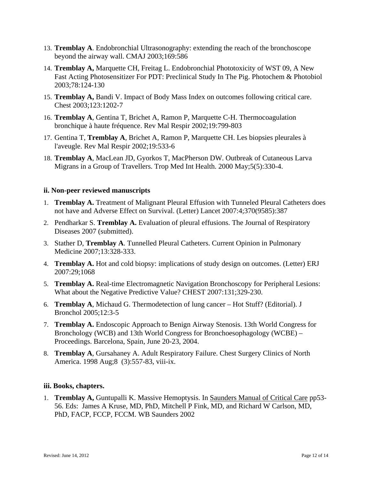- 13. **Tremblay A**. Endobronchial Ultrasonography: extending the reach of the bronchoscope beyond the airway wall. CMAJ 2003;169:586
- 14. **Tremblay A,** Marquette CH, Freitag L. Endobronchial Phototoxicity of WST 09, A New Fast Acting Photosensitizer For PDT: Preclinical Study In The Pig. Photochem & Photobiol 2003;78:124-130
- 15. **Tremblay A,** Bandi V. Impact of Body Mass Index on outcomes following critical care. Chest 2003;123:1202-7
- 16. **Tremblay A**, Gentina T, Brichet A, Ramon P, Marquette C-H. Thermocoagulation bronchique à haute fréquence. Rev Mal Respir 2002;19:799-803
- 17. Gentina T, **Tremblay A**, Brichet A, Ramon P, Marquette CH. Les biopsies pleurales à l'aveugle. Rev Mal Respir 2002;19:533-6
- 18. **Tremblay A**, MacLean JD, Gyorkos T, MacPherson DW. Outbreak of Cutaneous Larva Migrans in a Group of Travellers. Trop Med Int Health. 2000 May;5(5):330-4.

#### **ii. Non-peer reviewed manuscripts**

- 1. **Tremblay A.** Treatment of Malignant Pleural Effusion with Tunneled Pleural Catheters does not have and Adverse Effect on Survival. (Letter) Lancet 2007:4;370(9585):387
- 2. Pendharkar S. **Tremblay A.** Evaluation of pleural effusions. The Journal of Respiratory Diseases 2007 (submitted).
- 3. Stather D, **Tremblay A**. Tunnelled Pleural Catheters. Current Opinion in Pulmonary Medicine 2007;13:328-333.
- 4. **Tremblay A.** Hot and cold biopsy: implications of study design on outcomes. (Letter) ERJ 2007:29;1068
- 5. **Tremblay A.** Real-time Electromagnetic Navigation Bronchoscopy for Peripheral Lesions: What about the Negative Predictive Value? CHEST 2007:131;329-230.
- 6. **Tremblay A**, Michaud G. Thermodetection of lung cancer Hot Stuff? (Editorial). J Bronchol 2005;12:3-5
- 7. **Tremblay A.** Endoscopic Approach to Benign Airway Stenosis. 13th World Congress for Bronchology (WCB) and 13th World Congress for Bronchoesophagology (WCBE) – Proceedings. Barcelona, Spain, June 20-23, 2004.
- 8. **Tremblay A**, Gursahaney A. Adult Respiratory Failure. Chest Surgery Clinics of North America. 1998 Aug;8 (3):557-83, viii-ix.

#### **iii. Books, chapters.**

1. **Tremblay A,** Guntupalli K. Massive Hemoptysis. In Saunders Manual of Critical Care pp53- 56. Eds: James A Kruse, MD, PhD, Mitchell P Fink, MD, and Richard W Carlson, MD, PhD, FACP, FCCP, FCCM. WB Saunders 2002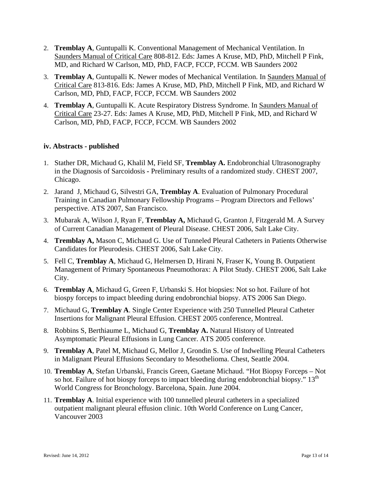- 2. **Tremblay A**, Guntupalli K. Conventional Management of Mechanical Ventilation. In Saunders Manual of Critical Care 808-812. Eds: James A Kruse, MD, PhD, Mitchell P Fink, MD, and Richard W Carlson, MD, PhD, FACP, FCCP, FCCM. WB Saunders 2002
- 3. **Tremblay A**, Guntupalli K. Newer modes of Mechanical Ventilation. In Saunders Manual of Critical Care 813-816. Eds: James A Kruse, MD, PhD, Mitchell P Fink, MD, and Richard W Carlson, MD, PhD, FACP, FCCP, FCCM. WB Saunders 2002
- 4. **Tremblay A**, Guntupalli K. Acute Respiratory Distress Syndrome. In Saunders Manual of Critical Care 23-27. Eds: James A Kruse, MD, PhD, Mitchell P Fink, MD, and Richard W Carlson, MD, PhD, FACP, FCCP, FCCM. WB Saunders 2002

#### **iv. Abstracts - published**

- 1. Stather DR, Michaud G, Khalil M, Field SF, **Tremblay A.** Endobronchial Ultrasonography in the Diagnosis of Sarcoidosis **-** Preliminary results of a randomized study. CHEST 2007, Chicago.
- 2. Jarand J, Michaud G, Silvestri GA, **Tremblay A**. Evaluation of Pulmonary Procedural Training in Canadian Pulmonary Fellowship Programs – Program Directors and Fellows' perspective. ATS 2007, San Francisco.
- 3. Mubarak A, Wilson J, Ryan F, **Tremblay A,** Michaud G, Granton J, Fitzgerald M. A Survey of Current Canadian Management of Pleural Disease. CHEST 2006, Salt Lake City.
- 4. **Tremblay A,** Mason C, Michaud G. Use of Tunneled Pleural Catheters in Patients Otherwise Candidates for Pleurodesis. CHEST 2006, Salt Lake City.
- 5. Fell C, **Tremblay A**, Michaud G, Helmersen D, Hirani N, Fraser K, Young B. Outpatient Management of Primary Spontaneous Pneumothorax: A Pilot Study. CHEST 2006, Salt Lake City.
- 6. **Tremblay A**, Michaud G, Green F, Urbanski S. Hot biopsies: Not so hot. Failure of hot biospy forceps to impact bleeding during endobronchial biopsy. ATS 2006 San Diego.
- 7. Michaud G, **Tremblay A**. Single Center Experience with 250 Tunnelled Pleural Catheter Insertions for Malignant Pleural Effusion. CHEST 2005 conference, Montreal.
- 8. Robbins S, Berthiaume L, Michaud G, **Tremblay A.** Natural History of Untreated Asymptomatic Pleural Effusions in Lung Cancer. ATS 2005 conference.
- 9. **Tremblay A**, Patel M, Michaud G, Mellor J, Grondin S. Use of Indwelling Pleural Catheters in Malignant Pleural Effusions Secondary to Mesothelioma. Chest, Seattle 2004.
- 10. **Tremblay A**, Stefan Urbanski, Francis Green, Gaetane Michaud. "Hot Biopsy Forceps Not so hot. Failure of hot biospy forceps to impact bleeding during endobronchial biopsy."  $13<sup>th</sup>$ World Congress for Bronchology. Barcelona, Spain. June 2004.
- 11. **Tremblay A**. Initial experience with 100 tunnelled pleural catheters in a specialized outpatient malignant pleural effusion clinic. 10th World Conference on Lung Cancer, Vancouver 2003